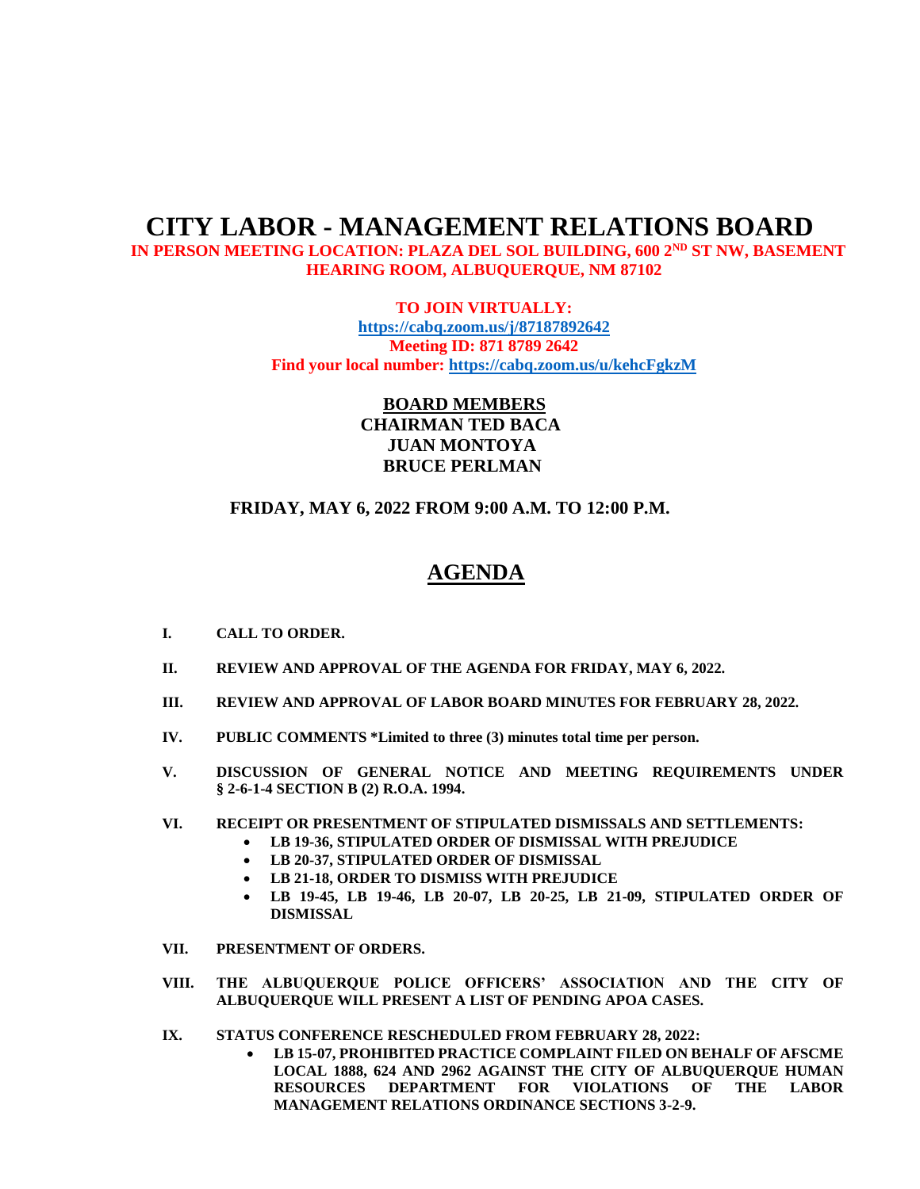## **CITY LABOR - MANAGEMENT RELATIONS BOARD**

IN PERSON MEETING LOCATION: PLAZA DEL SOL BUILDING, 600 2<sup>ND</sup> ST NW, BASEMENT **HEARING ROOM, ALBUQUERQUE, NM 87102**

> **TO JOIN VIRTUALLY: <https://cabq.zoom.us/j/87187892642> Meeting ID: 871 8789 2642 Find your local number[: https://cabq.zoom.us/u/kehcFgkzM](https://cabq.zoom.us/u/kehcFgkzM)**

> > **BOARD MEMBERS CHAIRMAN TED BACA JUAN MONTOYA BRUCE PERLMAN**

 **FRIDAY, MAY 6, 2022 FROM 9:00 A.M. TO 12:00 P.M.**

## **AGENDA**

- **I. CALL TO ORDER.**
- **II. REVIEW AND APPROVAL OF THE AGENDA FOR FRIDAY, MAY 6, 2022.**
- **III. REVIEW AND APPROVAL OF LABOR BOARD MINUTES FOR FEBRUARY 28, 2022.**
- **IV. PUBLIC COMMENTS \*Limited to three (3) minutes total time per person.**
- **V. DISCUSSION OF GENERAL NOTICE AND MEETING REQUIREMENTS UNDER § 2-6-1-4 SECTION B (2) R.O.A. 1994.**
- **VI. RECEIPT OR PRESENTMENT OF STIPULATED DISMISSALS AND SETTLEMENTS:**
	- **LB 19-36, STIPULATED ORDER OF DISMISSAL WITH PREJUDICE**
		- **LB 20-37, STIPULATED ORDER OF DISMISSAL**
		- **LB 21-18, ORDER TO DISMISS WITH PREJUDICE**
		- **LB 19-45, LB 19-46, LB 20-07, LB 20-25, LB 21-09, STIPULATED ORDER OF DISMISSAL**
- **VII. PRESENTMENT OF ORDERS.**
- **VIII. THE ALBUQUERQUE POLICE OFFICERS' ASSOCIATION AND THE CITY OF ALBUQUERQUE WILL PRESENT A LIST OF PENDING APOA CASES.**
- **IX. STATUS CONFERENCE RESCHEDULED FROM FEBRUARY 28, 2022:**
	- **LB 15-07, PROHIBITED PRACTICE COMPLAINT FILED ON BEHALF OF AFSCME LOCAL 1888, 624 AND 2962 AGAINST THE CITY OF ALBUQUERQUE HUMAN RESOURCES DEPARTMENT FOR VIOLATIONS OF THE LABOR MANAGEMENT RELATIONS ORDINANCE SECTIONS 3-2-9.**